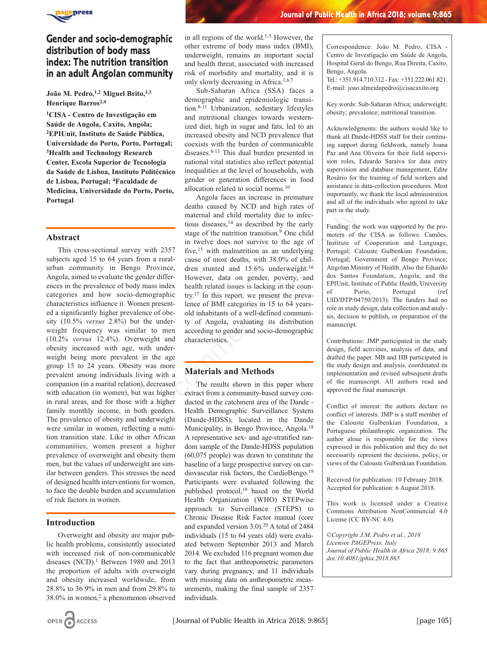

# **Gender and socio-demographic distribution of body mass index: The nutrition transition in an adult Angolan community**

**João M. Pedro,1,2 Miguel Brito,1,3 Henrique Barros2,4**

**1CISA - Centro de Investigação em Saúde de Angola, Caxito, Angola; 2EPIUnit, Instituto de Saúde Pública, Universidade do Porto, Porto, Portugal; 3Health and Technology Research Center, Escola Superior de Tecnologia da Saúde de Lisboa, Instituto Politécnico de Lisboa, Portugal; 4Faculdade de Medicina, Universidade do Porto, Porto, Portugal**

# **Abstract**

This cross-sectional survey with 2357 subjects aged 15 to 64 years from a ruralurban community in Bengo Province, Angola, aimed to evaluate the gender differences in the prevalence of body mass index categories and how socio-demographic characteristics influence it. Women presented a significantly higher prevalence of obesity (10.5% *versus* 2.8%) but the underweight frequency was similar to men (10.2% *versus* 12.4%). Overweight and obesity increased with age, with underweight being more prevalent in the age group 15 to 24 years. Obesity was more prevalent among individuals living with a companion (in a marital relation), decreased with education (in women), but was higher in rural areas, and for those with a higher family monthly income, in both genders. The prevalence of obesity and underweight were similar in women, reflecting a nutrition transition state. Like in other African communities, women present a higher prevalence of overweight and obesity them men, but the values of underweight are similar between genders. This stresses the need of designed health interventions for women, to face the double burden and accumulation of risk factors in women.

### **Introduction**

Overweight and obesity are major public health problems, consistently associated with increased risk of non-communicable diseases (NCD). $1$  Between 1980 and 2013 the proportion of adults with overweight and obesity increased worldwide, from 28.8% to 36.9% in men and from 29.8% to  $38.0\%$  in women,<sup>2</sup> a phenomenon observed in all regions of the world.1-5 However, the other extreme of body mass index (BMI), underweight, remains an important social and health threat, associated with increased risk of morbidity and mortality, and it is only slowly decreasing in Africa.1,6,7

Sub-Saharan Africa (SSA) faces a demographic and epidemiologic transition.8-11 Urbanization, sedentary lifestyles and nutritional changes towards westernized diet, high in sugar and fats, led to an increased obesity and NCD prevalence that coexists with the burden of communicable diseases.8-13 This dual burden presented in national vital statistics also reflect potential inequalities at the level of households, with gender or generation differences in food allocation related to social norms.10

Angola faces an increase in premature deaths caused by NCD and high rates of maternal and child mortality due to infectious diseases, $14$  as described by the early stage of the nutrition transition.<sup>9</sup> One child in twelve does not survive to the age of five,15 with malnutrition as an underlying cause of most deaths, with 38.0% of children stunted and 15.6% underweight.16 However, data on gender, poverty, and health related issues is lacking in the country.17 In this report, we present the prevalence of BMI categories in 15 to 64 yearsold inhabitants of a well-defined community of Angola, evaluating its distribution according to gender and socio-demographic characteristics. maternal and child mortality due to infect<br>
touis disease, <sup>14</sup> as described by the early<br>
stage of the nutrition transition.<sup>9</sup> One child<br>
in twelve does not survive to the age of<br>
Institute of<br>
Inverse in twelve does no

# **Materials and Methods**

The results shown in this paper where extract from a community-based survey conducted in the catchment area of the Dande - Health Demographic Surveillance System (Dande-HDSS), located in the Dande Municipality, in Bengo Province, Angola.18 A representative sex- and age-stratified random sample of the Dande-HDSS population (60,075 people) was drawn to constitute the baseline of a large prospective survey on cardiovascular risk factors, the CardioBengo.19 Participants were evaluated following the published protocol,19 based on the World Health Organization (WHO) STEPwise approach to Surveillance (STEPS) to Chronic Disease Risk Factor manual (core and expanded version 3.0).20 A total of 2484 individuals (15 to 64 years old) were evaluated between September 2013 and March 2014. We excluded 116 pregnant women due to the fact that anthropometric parameters vary during pregnancy, and 11 individuals with missing data on anthropometric measurements, making the final sample of 2357 individuals.

 **Journal of Public Health in Africa 2018; volume 9:865**

Correspondence: João M. Pedro, CISA - Centro de Investigação em Saúde de Angola, Hospital Geral do Bengo, Rua Direita, Caxito, Bengo, Angola.

Tel.: +351.914.710.312 - Fax: +351.222.061.821. E-mail: joao.almeidapedro@cisacaxito.org

Key words: Sub-Saharan Africa; underweight; obesity; prevalence; nutritional transition.

Acknowledgments: the authors would like to thank all Dande-HDSS staff for their continuing support during fieldwork, namely Joana Paz and Ana Oliveira for their field supervision roles, Eduardo Saraiva for data entry supervision and database management, Edite Rosário for the training of field workers and assistance in data-collection procedures. Most importantly, we thank the local administration and all of the individuals who agreed to take part in the study.

Funding: the work was supported by the promoters of the CISA as follows: Camões, Institute of Cooperation and Language, Portugal; Calouste Gulbenkian Foundation, Portugal; Government of Bengo Province; Angolan Ministry of Health. Also the Eduardo dos Santos Foundation, Angola, and the EPIUnit, Institute of Public Health, University of Porto, Portugal (ref UID/DTP/04750/2013). The funders had no role in study design, data collection and analysis, decision to publish, or preparation of the manuscript.

Contributions: JMP participated in the study design, field activities, analysis of data, and drafted the paper. MB and HB participated in the study design and analysis, coordinated its implementation and revised subsequent drafts of the manuscript. All authors read and approved the final manuscript.

Conflict of interest: the authors declare no conflict of interests. JMP is a staff member of the Calouste Gulbenkian Foundation, a Portuguese philanthropic organization. The author alone is responsible for the views expressed in this publication and they do not necessarily represent the decisions, policy, or views of the Calouste Gulbenkian Foundation.

Received for publication: 10 February 2018. Accepted for publication: 6 August 2018.

This work is licensed under a Creative Commons Attribution NonCommercial 4.0 License (CC BY-NC 4.0).

*©Copyright J.M. Pedro et al., 2018 Licensee PAGEPress, Italy Journal of Public Health in Africa 2018; 9:865 doi:10.4081/jphia.2018*.*865*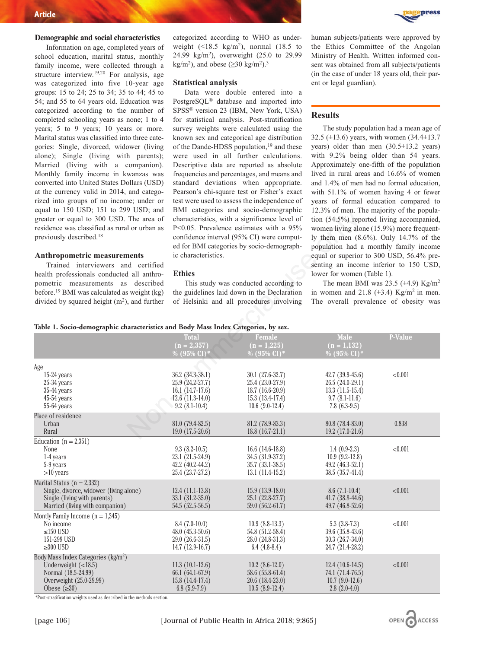#### **Demographic and social characteristics**

Information on age, completed years of school education, marital status, monthly family income, were collected through a structure interview.19,20 For analysis, age was categorized into five 10-year age groups: 15 to 24; 25 to 34; 35 to 44; 45 to 54; and 55 to 64 years old. Education was categorized according to the number of completed schooling years as none; 1 to 4 years; 5 to 9 years; 10 years or more. Marital status was classified into three categories: Single, divorced, widower (living alone); Single (living with parents); Married (living with a companion). Monthly family income in kwanzas was converted into United States Dollars (USD) at the currency valid in 2014, and categorized into groups of no income; under or equal to 150 USD; 151 to 299 USD; and greater or equal to 300 USD. The area of residence was classified as rural or urban as previously described.18

#### **Anthropometric measurements**

categorized according to WHO as underweight  $(\leq 18.5 \text{ kg/m}^2)$ , normal  $(18.5 \text{ to}$ 24.99 kg/m2), overweight (25.0 to 29.99 kg/m<sup>2</sup>), and obese ( $\geq$ 30 kg/m<sup>2</sup>).<sup>3</sup>

#### **Statistical analysis**

Data were double entered into a PostgreSQL® database and imported into SPSS® version 23 (IBM, New York, USA) for statistical analysis. Post-stratification survey weights were calculated using the known sex and categorical age distribution of the Dande-HDSS population,<sup>19</sup> and these were used in all further calculations. Descriptive data are reported as absolute frequencies and percentages, and means and standard deviations when appropriate. Pearson's chi-square test or Fisher's exact test were used to assess the independence of BMI categories and socio-demographic characteristics, with a significance level of P<0.05. Prevalence estimates with a 95% confidence interval (95% CI) were computed for BMI categories by socio-demographic characteristics.

#### **Ethics**

human subjects/patients were approved by the Ethics Committee of the Angolan Ministry of Health. Written informed consent was obtained from all subjects/patients (in the case of under 18 years old, their parent or legal guardian).

### **Results**

The study population had a mean age of 32.5 (±13.6) years, with women (34.4±13.7 years) older than men (30.5±13.2 years) with 9.2% being older than 54 years. Approximately one-fifth of the population lived in rural areas and 16.6% of women and 1.4% of men had no formal education, with 51.1% of women having 4 or fewer years of formal education compared to 12.3% of men. The majority of the population (54.5%) reported living accompanied, women living alone (15.9%) more frequently them men (8.6%). Only 14.7% of the population had a monthly family income equal or superior to 300 USD, 56.4% presenting an income inferior to 150 USD, lower for women (Table 1).

#### **Table 1. Socio-demographic characteristics and Body Mass Index Categories, by sex.**

| $C_1$ cqual to 150 $C_2$ $D_2$ , 151 to 255 $C_3$ $D_1$ and<br>greater or equal to 300 USD. The area of<br>residence was classified as rural or urban as<br>previously described. <sup>18</sup><br><b>Anthropometric measurements</b><br>Trained interviewers and certified<br>health professionals conducted all anthro-<br>pometric measurements as described<br>before. <sup>19</sup> BMI was calculated as weight (kg)<br>divided by squared height $(m2)$ , and further | ic characteristics.<br><b>Ethics</b>                                                               | DIVIT categories and socio-demographic<br>characteristics, with a significance level of<br>P<0.05. Prevalence estimates with a 95%<br>confidence interval (95% CI) were comput-<br>ed for BMI categories by socio-demograph-<br>This study was conducted according to<br>the guidelines laid down in the Declaration<br>of Helsinki and all procedures involving | $12.3\%$ of firem. The majority of the popula-<br>tion (54.5%) reported living accompanied,<br>women living alone (15.9%) more frequent-<br>ly them men $(8.6\%)$ . Only 14.7% of the<br>population had a monthly family income<br>equal or superior to 300 USD, 56.4% pre-<br>senting an income inferior to 150 USD,<br>lower for women (Table 1).<br>The mean BMI was 23.5 ( $\pm$ 4.9) Kg/m <sup>2</sup><br>in women and 21.8 ( $\pm$ 3.4) Kg/m <sup>2</sup> in men.<br>The overall prevalence of obesity was |                |  |
|------------------------------------------------------------------------------------------------------------------------------------------------------------------------------------------------------------------------------------------------------------------------------------------------------------------------------------------------------------------------------------------------------------------------------------------------------------------------------|----------------------------------------------------------------------------------------------------|------------------------------------------------------------------------------------------------------------------------------------------------------------------------------------------------------------------------------------------------------------------------------------------------------------------------------------------------------------------|------------------------------------------------------------------------------------------------------------------------------------------------------------------------------------------------------------------------------------------------------------------------------------------------------------------------------------------------------------------------------------------------------------------------------------------------------------------------------------------------------------------|----------------|--|
| Table 1. Socio-demographic characteristics and Body Mass Index Categories, by sex.                                                                                                                                                                                                                                                                                                                                                                                           |                                                                                                    |                                                                                                                                                                                                                                                                                                                                                                  |                                                                                                                                                                                                                                                                                                                                                                                                                                                                                                                  |                |  |
|                                                                                                                                                                                                                                                                                                                                                                                                                                                                              | <b>Total</b><br>$(n = 2,357)$<br>% (95% CI)                                                        | <b>Female</b><br>$(n = 1,225)$<br>% $(95\% \text{ CI})$ <sup>*</sup>                                                                                                                                                                                                                                                                                             | <b>Male</b><br>$(n = 1, 132)$<br>% $(95\% \text{ CI})$ <sup>*</sup>                                                                                                                                                                                                                                                                                                                                                                                                                                              | <b>P-Value</b> |  |
| Age<br>15-24 years<br>$25-34$ years<br>$35-44$ years<br>$45-54$ years<br>$55-64$ years                                                                                                                                                                                                                                                                                                                                                                                       | 36.2 (34.3-38.1)<br>25.9 (24.2-27.7)<br>16.1 $(14.7-17.6)$<br>$12.6(11.3-14.0)$<br>$9.2(8.1-10.4)$ | $30.1(27.6-32.7)$<br>$25.4(23.0-27.9)$<br>18.7 (16.6-20.9)<br>$15.3(13.4-17.4)$<br>$10.6(9.0-12.4)$                                                                                                                                                                                                                                                              | $42.7(39.9-45.6)$<br>$26.5(24.0-29.1)$<br>$13.3(11.5-15.4)$<br>$9.7(8.1-11.6)$<br>$7.8(6.3-9.5)$                                                                                                                                                                                                                                                                                                                                                                                                                 | < 0.001        |  |
| Place of residence<br>Urban<br>Rural                                                                                                                                                                                                                                                                                                                                                                                                                                         | 81.0 (79.4-82.5)<br>$19.0(17.5-20.6)$                                                              | 81.2 (78.9-83.3)<br>$18.8(16.7-21.1)$                                                                                                                                                                                                                                                                                                                            | 80.8 (78.4-83.0)<br>$19.2(17.0-21.6)$                                                                                                                                                                                                                                                                                                                                                                                                                                                                            | 0.838          |  |
| Education ( $n = 2,351$ )<br>None<br>1-4 years<br>5-9 years<br>$>10$ years                                                                                                                                                                                                                                                                                                                                                                                                   | $9.3(8.2-10.5)$<br>23.1 (21.5-24.9)<br>$42.2(40.2 - 44.2)$<br>25.4 (23.7-27.2)                     | 16.6 $(14.6-18.8)$<br>34.5 (31.9-37.2)<br>35.7 (33.1-38.5)<br>$13.1(11.4-15.2)$                                                                                                                                                                                                                                                                                  | $1.4(0.9-2.3)$<br>$10.9(9.2-12.8)$<br>$49.2 (46.3 - 52.1)$<br>38.5 (35.7-41.4)                                                                                                                                                                                                                                                                                                                                                                                                                                   | < 0.001        |  |
| Marital Status $(n = 2,332)$<br>Single, divorce, widower (living alone)<br>Single (living with parents)<br>Married (living with companion)                                                                                                                                                                                                                                                                                                                                   | $12.4(11.1-13.8)$<br>33.1 (31.2-35.0)<br>$54.5(52.5-56.5)$                                         | $15.9(13.9-18.0)$<br>25.1 (22.8-27.7)<br>59.0 $(56.2 - 61.7)$                                                                                                                                                                                                                                                                                                    | $8.6(7.1-10.4)$<br>$41.7(38.8-44.6)$<br>49.7 (46.8-52.6)                                                                                                                                                                                                                                                                                                                                                                                                                                                         | < 0.001        |  |
| Montly Family Income $(n = 1,345)$<br>No income<br>$\leq$ 150 USD<br>151-299 USD<br>$\geq 300$ USD                                                                                                                                                                                                                                                                                                                                                                           | $8.4(7.0-10.0)$<br>$48.0(45.3-50.6)$<br>$29.0(26.6-31.5)$<br>$14.7(12.9-16.7)$                     | $10.9(8.8-13.3)$<br>54.8 (51.2-58.4)<br>28.0 (24.8-31.3)<br>$6.4(4.8-8.4)$                                                                                                                                                                                                                                                                                       | $5.3(3.8-7.3)$<br>39.6 (35.8-43.6)<br>$30.3(26.7-34.0)$<br>24.7 (21.4-28.2)                                                                                                                                                                                                                                                                                                                                                                                                                                      | < 0.001        |  |
| Body Mass Index Categories (kg/m <sup>2</sup> )<br>Underweight $(<18.5)$<br>Normal (18.5-24.99)<br>Overweight (25.0-29.99)<br>Obese $(\geq 30)$                                                                                                                                                                                                                                                                                                                              | $11.3(10.1-12.6)$<br>66.1 (64.1-67.9)<br>$15.8(14.4-17.4)$<br>$6.8(5.9-7.9)$                       | $10.2(8.6-12.0)$<br>58.6 (55.8-61.4)<br>$20.6(18.4-23.0)$<br>$10.5(8.9-12.4)$                                                                                                                                                                                                                                                                                    | $12.4(10.6-14.5)$<br>74.1 (71.4-76.5)<br>$10.7(9.0-12.6)$<br>$2.8(2.0-4.0)$                                                                                                                                                                                                                                                                                                                                                                                                                                      | < 0.001        |  |

\*Post-stratification weights used as described in the methods section.



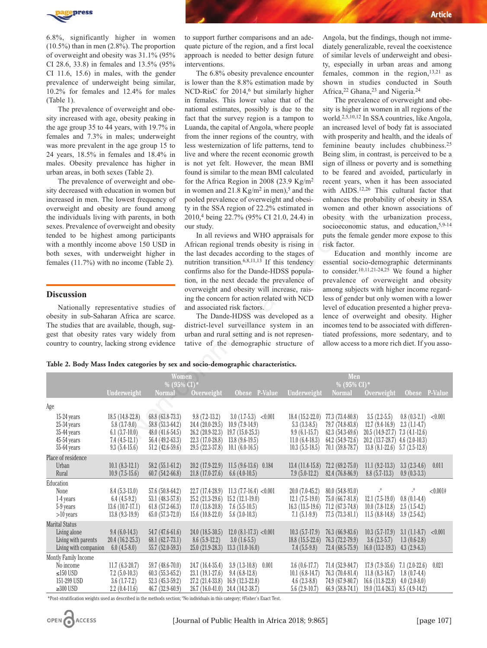

6.8%, significantly higher in women (10.5%) than in men (2.8%). The proportion of overweight and obesity was 31.1% (95% CI 28.6, 33.8) in females and 13.5% (95% CI 11.6, 15.6) in males, with the gender prevalence of underweight being similar, 10.2% for females and 12.4% for males (Table 1).

The prevalence of overweight and obesity increased with age, obesity peaking in the age group 35 to 44 years, with 19.7% in females and 7.3% in males; underweight was more prevalent in the age group 15 to 24 years, 18.5% in females and 18.4% in males. Obesity prevalence has higher in urban areas, in both sexes (Table 2).

The prevalence of overweight and obesity decreased with education in women but increased in men. The lowest frequency of overweight and obesity are found among the individuals living with parents, in both sexes. Prevalence of overweight and obesity tended to be highest among participants with a monthly income above 150 USD in both sexes, with underweight higher in females (11.7%) with no income (Table 2).

## **Discussion**

to support further comparisons and an adequate picture of the region, and a first local approach is needed to better design future interventions.

The 6.8% obesity prevalence encounter is lower than the 8.8% estimation made by NCD-RisC for 2014,<sup>6</sup> but similarly higher in females. This lower value that of the national estimates, possibly is due to the fact that the survey region is a tampon to Luanda, the capital of Angola, where people from the inner regions of the country, with less westernization of life patterns, tend to live and where the recent economic growth is not yet felt. However, the mean BMI found is similar to the mean BMI calculated for the Africa Region in 2008 (23.9  $Kg/m^2$ in women and  $21.8 \text{ Kg/m}^2$  in men),<sup>5</sup> and the pooled prevalence of overweight and obesity in the SSA region of 22.2% estimated in 2010,4 being 22.7% (95% CI 21.0, 24.4) in our study.

Angola, but the findings, though not immediately generalizable, reveal the coexistence of similar levels of underweight and obesity, especially in urban areas and among females, common in the region, $13,21$  as shown in studies conducted in South Africa,<sup>22</sup> Ghana,<sup>23</sup> and Nigeria.<sup>24</sup>

The prevalence of overweight and obesity is higher in women in all regions of the world.2,5,10,12 In SSA countries, like Angola, an increased level of body fat is associated with prosperity and health, and the ideals of feminine beauty includes chubbiness.25 Being slim, in contrast, is perceived to be a sign of illness or poverty and is something to be feared and avoided, particularly in recent years, when it has been associated with AIDS.<sup>12,26</sup> This cultural factor that enhances the probability of obesity in SSA women and other known associations of obesity with the urbanization process, socioeconomic status, and education, 5,9-14 puts the female gender more expose to this risk factor.

**Table 2. Body Mass Index categories by sex and socio-demographic characteristics.**

| $\sim$ . $\sim$ . $\sim$ . $\sim$ . $\sim$ . $\sim$ . $\sim$ . $\sim$ . $\sim$ . $\sim$ . $\sim$ . $\sim$<br>the individuals living with parents, in both<br>sexes. Prevalence of overweight and obesity<br>tended to be highest among participants<br>with a monthly income above 150 USD in<br>both sexes, with underweight higher in<br>females (11.7%) with no income (Table 2).<br><b>Discussion</b><br>Nationally representative studies of<br>obesity in sub-Saharan Africa are scarce.<br>The studies that are available, though, sug-<br>gest that obesity rates vary widely from<br>country to country, lacking strong evidence |                                                                                             |                                                                                                     | $\frac{1}{2}$ in the borries, then or $\frac{1}{2}$ .<br>2010,4 being 22.7% (95% CI 21.0, 24.4) in<br>our study.<br>In all reviews and WHO appraisals for<br>African regional trends obesity is rising in<br>the last decades according to the stages of<br>nutrition transition. <sup>6,8,11,13</sup> If this tendency<br>confirms also for the Dande-HDSS popula-<br>tion, in the next decade the prevalence of<br>overweight and obesity will increase, rais-<br>ing the concern for action related with NCD<br>and associated risk factors.<br>The Dande-HDSS was developed as a<br>district-level surveillance system in an<br>urban and rural setting and is not represen-<br>tative of the demographic structure of |                                                                                                                      |                                                                                                | obesity with the urbanization process,<br>socioeconomic status, and education, 5,9-14<br>puts the female gender more expose to this<br>risk factor.<br>Education and monthly income are<br>essential socio-demographic determinants<br>to consider. <sup>10,11,21-24,25</sup> We found a higher<br>prevalence of overweight and obesity<br>among subjects with higher income regard-<br>less of gender but only women with a lower<br>level of education presented a higher preva-<br>lence of overweight and obesity. Higher<br>incomes tend to be associated with differen-<br>tiated professions, more sedentary, and to<br>allow access to a more rich diet. If you asso- |                                                                                                                                                    |                                                                                  |          |  |                                                                                                   |                                          |            |               |             |                                          |            |               |
|-------------------------------------------------------------------------------------------------------------------------------------------------------------------------------------------------------------------------------------------------------------------------------------------------------------------------------------------------------------------------------------------------------------------------------------------------------------------------------------------------------------------------------------------------------------------------------------------------------------------------------------------|---------------------------------------------------------------------------------------------|-----------------------------------------------------------------------------------------------------|----------------------------------------------------------------------------------------------------------------------------------------------------------------------------------------------------------------------------------------------------------------------------------------------------------------------------------------------------------------------------------------------------------------------------------------------------------------------------------------------------------------------------------------------------------------------------------------------------------------------------------------------------------------------------------------------------------------------------|----------------------------------------------------------------------------------------------------------------------|------------------------------------------------------------------------------------------------|-------------------------------------------------------------------------------------------------------------------------------------------------------------------------------------------------------------------------------------------------------------------------------------------------------------------------------------------------------------------------------------------------------------------------------------------------------------------------------------------------------------------------------------------------------------------------------------------------------------------------------------------------------------------------------|----------------------------------------------------------------------------------------------------------------------------------------------------|----------------------------------------------------------------------------------|----------|--|---------------------------------------------------------------------------------------------------|------------------------------------------|------------|---------------|-------------|------------------------------------------|------------|---------------|
|                                                                                                                                                                                                                                                                                                                                                                                                                                                                                                                                                                                                                                           |                                                                                             |                                                                                                     |                                                                                                                                                                                                                                                                                                                                                                                                                                                                                                                                                                                                                                                                                                                            |                                                                                                                      |                                                                                                |                                                                                                                                                                                                                                                                                                                                                                                                                                                                                                                                                                                                                                                                               |                                                                                                                                                    |                                                                                  |          |  | Table 2. Body Mass Index categories by sex and socio-demographic characteristics.<br><b>Women</b> |                                          |            | Men           |             |                                          |            |               |
|                                                                                                                                                                                                                                                                                                                                                                                                                                                                                                                                                                                                                                           |                                                                                             |                                                                                                     |                                                                                                                                                                                                                                                                                                                                                                                                                                                                                                                                                                                                                                                                                                                            |                                                                                                                      |                                                                                                |                                                                                                                                                                                                                                                                                                                                                                                                                                                                                                                                                                                                                                                                               |                                                                                                                                                    |                                                                                  |          |  | Underweight                                                                                       | % $(95\% \text{ CI})^*$<br><b>Normal</b> | Overweight | Obese P-Value | Underweight | % $(95\% \text{ CI})^*$<br><b>Normal</b> | Overweight | Obese P-Value |
| Age                                                                                                                                                                                                                                                                                                                                                                                                                                                                                                                                                                                                                                       |                                                                                             |                                                                                                     |                                                                                                                                                                                                                                                                                                                                                                                                                                                                                                                                                                                                                                                                                                                            |                                                                                                                      |                                                                                                |                                                                                                                                                                                                                                                                                                                                                                                                                                                                                                                                                                                                                                                                               |                                                                                                                                                    |                                                                                  |          |  |                                                                                                   |                                          |            |               |             |                                          |            |               |
| 15-24 years<br>$25-34$ years<br>35-44 years<br>$45-54$ years<br>55-64 years                                                                                                                                                                                                                                                                                                                                                                                                                                                                                                                                                               | 18.5 (14.8-22.8)<br>$5.8(3.7-9.0)$<br>$6.1(3.7-10.0)$<br>$7.4(4.5-12.1)$<br>$9.3(5.4-15.6)$ | 68.8 (63.8-73.3)<br>58.8 (53.3-64.2)<br>$48.0(41.6-54.5)$<br>$56.4(49.2-63.3)$<br>$51.2(42.6-59.6)$ | $9.8(7.2-13.2)$<br>24.4 (20.0-29.5)<br>$26.2(20.9-32.3)$<br>$22.3(17.0-28.8)$<br>29.5 (22.3-37.8)                                                                                                                                                                                                                                                                                                                                                                                                                                                                                                                                                                                                                          | $3.0(1.7-5.3) < 0.001$<br>$10.9(7.9-14.9)$<br>$19.7(15.0-25.3)$<br>$13.8(9.6-19.5)$<br>$10.1(6.0-16.5)$              | $18.4(15.2-22.0)$<br>$5.3(3.3-8.5)$<br>$9.9(6.1-15.7)$<br>$11.0(6.4-18.3)$<br>$10.3(5.5-18.5)$ | 77.3 (73.4-80.8)<br>79.7 (74.8-83.8)<br>$62.3(54.3-69.6)$<br>$64.2$ $(54.9 - 72.6)$<br>$70.1(59.8-78.7)$                                                                                                                                                                                                                                                                                                                                                                                                                                                                                                                                                                      | $3.5(2.2-5.5)$<br>$12.7(9.4-16.9)$<br>$20.5$ (14.9-27.7) 7.3 (4.1-12.6)<br>20.2 (13.7-28.7) 4.6 (2.0-10.3)<br>$13.8$ $(8.1-22.6)$ 5.7 $(2.5-12.8)$ | $0.8(0.3-2.1) < 0.001$<br>$2.3(1.1-4.7)$                                         |          |  |                                                                                                   |                                          |            |               |             |                                          |            |               |
| Place of residence<br>Urban<br>Rural                                                                                                                                                                                                                                                                                                                                                                                                                                                                                                                                                                                                      | $10.1 (8.3-12.1)$<br>$10.9(7.5-15.6)$                                                       | $58.2(55.1-61.2)$<br>$60.7(54.2-66.8)$                                                              | $20.2(17.9-22.9)$<br>$21.8(17.0-27.6)$                                                                                                                                                                                                                                                                                                                                                                                                                                                                                                                                                                                                                                                                                     | $11.5(9.6-13.6)$ 0.184<br>$6.6(4.0-10.5)$                                                                            | $7.9(5.0-12.2)$                                                                                | 13.4 (11.4-15.8) 72.2 (69.2-75.0)<br>82.4 (76.8-86.9)                                                                                                                                                                                                                                                                                                                                                                                                                                                                                                                                                                                                                         | $11.1 (9.2 - 13.3)$<br>$8.8(5.7-13.3)$                                                                                                             | $3.3(2.3-4.6)$<br>$0.9(0.3-3.3)$                                                 | 0.011    |  |                                                                                                   |                                          |            |               |             |                                          |            |               |
| Education<br>None<br>1-4 years<br>5-9 years<br>$>10$ years                                                                                                                                                                                                                                                                                                                                                                                                                                                                                                                                                                                | $8.4(5.3-13.0)$<br>$6.4(4.5-9.2)$<br>$13.6(10.7-17.1)$<br>$13.8(9.3-19.9)$                  | 57.6 (50.8-64.2)<br>53.1 (48.3-57.8)<br>$61.8(57.2-66.3)$<br>$65.0(57.3-72.0)$                      | 22.7 (17.4-28.9)<br>$25.2(21.3-29.6)$<br>$17.0(13.8-20.8)$<br>$15.6(10.8-22.0)$                                                                                                                                                                                                                                                                                                                                                                                                                                                                                                                                                                                                                                            | $11.3 (7.7-16.4) < 0.001$<br>$15.2(12.1-19.0)$<br>$7.6(5.5-10.5)$<br>$5.6(3.0-10.3)$                                 | $20.0(7.0-45.2)$<br>$12.1(7.5-19.0)$<br>$16.3(13.5-19.6)$<br>$7.1(5.1-9.9)$                    | 80.0 (54.8-93.0)<br>$75.0(66.7-81.8)$<br>$71.2(67.3-74.8)$<br>$77.5(73.3-81.1)$                                                                                                                                                                                                                                                                                                                                                                                                                                                                                                                                                                                               | $\overline{a}$<br>$12.1(7.5-19.0)$<br>$10.0(7.8-12.8)$<br>$11.5(8.8-14.8)$                                                                         | $\overline{\phantom{0}}^0$<br>$0.8(0.1-4.4)$<br>$2.5(1.5-4.2)$<br>$3.9(2.5-6.2)$ | < 0.001# |  |                                                                                                   |                                          |            |               |             |                                          |            |               |
| <b>Marital Status</b><br>Living alone<br>Living with parents<br>Living with companion                                                                                                                                                                                                                                                                                                                                                                                                                                                                                                                                                     | $9.4(6.0-14.3)$<br>$20.4(16.2-25.3)$<br>$6.0(4.5-8.0)$                                      | 54.7 (47.6-61.6)<br>$68.1 (62.7 - 73.1)$<br>$55.7(52.0-59.3)$                                       | $24.0(18.5-30.5)$<br>$8.6(5.9-12.2)$<br>$25.0(21.9-28.3)$                                                                                                                                                                                                                                                                                                                                                                                                                                                                                                                                                                                                                                                                  | $12.0 (8.1-17.3) < 0.001$<br>$3.0(1.6-5.5)$<br>$13.3(11.0-16.0)$                                                     | $10.3(5.7-17.9)$<br>$18.8(15.5-22.6)$<br>$7.4(5.5-9.8)$                                        | $76.3(66.9-83.6)$<br>76.3 (72.2-79.9)<br>$72.4(68.5-75.9)$                                                                                                                                                                                                                                                                                                                                                                                                                                                                                                                                                                                                                    | $10.3(5.7-17.9)$<br>$3.6(2.3-5.7)$<br>$16.0(13.2-19.3)$ 4.3 (2.9-6.3)                                                                              | $3.1(1.1-8.7)$<br>$1.3(0.6-2.8)$                                                 | < 0.001  |  |                                                                                                   |                                          |            |               |             |                                          |            |               |
| Montly Family Income<br>No income<br>≤150 USD<br>151-299 USD<br>$\geq$ 300 USD                                                                                                                                                                                                                                                                                                                                                                                                                                                                                                                                                            | $11.7(6.3-20.7)$<br>$7.2(5.0-10.3)$<br>$3.6(1.7-7.2)$<br>$2.2(0.4-11.6)$                    | 59.7 (48.6-70.0)<br>$60.3(55.3-65.2)$<br>$52.3(45.3-59.2)$<br>$46.7(32.9-60.9)$                     | 24.7 (16.4-35.4)<br>$23.1(19.1-27.6)$                                                                                                                                                                                                                                                                                                                                                                                                                                                                                                                                                                                                                                                                                      | $3.9(1.3-10.8)$ 0.001<br>$9.4(6.8-12.8)$<br>$27.2$ (21.4-33.8) 16.9 (12.3-22.8)<br>26.7 (16.0-41.0) 24.4 (14.2-38.7) | $3.6(0.6-17.7)$<br>$10.1 (6.8-14.7)$<br>$4.6(2.3-8.8)$<br>$5.6(2.9-10.7)$                      | 71.4 (52.9-84.7)<br>76.3 (70.4-81.4)<br>$74.9(67.9-80.7)$<br>$66.9(58.8-74.1)$                                                                                                                                                                                                                                                                                                                                                                                                                                                                                                                                                                                                | $17.9$ $(7.9-35.6)$ $7.1$ $(2.0-22.6)$<br>$11.8(8.3-16.7)$<br>$16.6$ (11.8-22.8) $4.0$ (2.0-8.0)<br>$19.0(13.4-26.3)$ $8.5(4.9-14.2)$              | $1.8(0.7-4.4)$                                                                   | 0.021    |  |                                                                                                   |                                          |            |               |             |                                          |            |               |

\*Post-stratification weights used as described in the methods section; ºNo individuals in this category; #Fisher's Exact Test.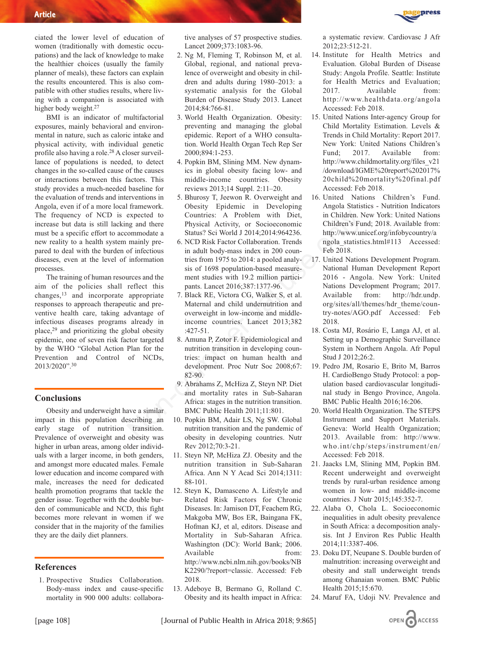ciated the lower level of education of women (traditionally with domestic occupations) and the lack of knowledge to make the healthier choices (usually the family planner of meals), these factors can explain the results encountered. This is also compatible with other studies results, where living with a companion is associated with higher body weight.<sup>27</sup>

BMI is an indicator of multifactorial exposures, mainly behavioral and environmental in nature, such as caloric intake and physical activity, with individual genetic profile also having a role.28 A closer surveillance of populations is needed, to detect changes in the so-called cause of the causes or interactions between this factors. This study provides a much-needed baseline for the evaluation of trends and interventions in Angola, even if of a more local framework. The frequency of NCD is expected to increase but data is still lacking and there must be a specific effort to accommodate a new reality to a health system mainly prepared to deal with the burden of infectious diseases, even at the level of information processes.

The training of human resources and the aim of the policies shall reflect this changes, $13$  and incorporate appropriate responses to approach therapeutic and preventive health care, taking advantage of infectious diseases programs already in place,29 and prioritizing the global obesity epidemic, one of seven risk factor targeted by the WHO "Global Action Plan for the Prevention and Control of NCDs, 2013/2020".30

# **Conclusions**

Obesity and underweight have a similar impact in this population describing an early stage of nutrition transition. Prevalence of overweight and obesity was higher in urban areas, among older individuals with a larger income, in both genders, and amongst more educated males. Female lower education and income compared with male, increases the need for dedicated health promotion programs that tackle the gender issue. Together with the double burden of communicable and NCD, this fight becomes more relevant in women if we consider that in the majority of the families they are the daily diet planners.

### **References**

1. Prospective Studies Collaboration. Body-mass index and cause-specific mortality in 900 000 adults: collaborative analyses of 57 prospective studies. Lancet 2009;373:1083-96.

- 2. Ng M, Fleming T, Robinson M, et al. Global, regional, and national prevalence of overweight and obesity in children and adults during 1980–2013: a systematic analysis for the Global Burden of Disease Study 2013. Lancet 2014;84:766-81.
- 3. World Health Organization. Obesity: preventing and managing the global epidemic. Report of a WHO consultation. World Health Organ Tech Rep Ser 2000;894:1-253.
- 4. Popkin BM, Slining MM. New dynamics in global obesity facing low- and middle-income countries. Obesity reviews 2013;14 Suppl. 2:11–20.
- 5. Bhurosy T, Jeewon R. Overweight and Obesity Epidemic in Developing Countries: A Problem with Diet, Physical Activity, or Socioeconomic Status? Sci World J 2014;2014:964236.
- 6. NCD Risk Factor Collaboration. Trends in adult body-mass index in 200 countries from 1975 to 2014: a pooled analysis of 1698 population-based measurement studies with 19.2 million participants. Lancet 2016;387:1377-96. expected to Countries: A Problem with Diet, in Children. Non-<br>
many dure Physical Activity, or Socioceconomic Children's Fury commodate a<br>
Status? Sci World J 2014;2014:904236. http://www.um<br>
mainly pre-<br>
6. NCD Risk Facto
	- 7. Black RE, Victora CG, Walker S, et al. Maternal and child undernutrition and overweight in low-income and middleincome countries. Lancet 2013;382 :427-51.
	- 8. Amuna P, Zotor F. Epidemiological and nutrition transition in developing countries: impact on human health and development. Proc Nutr Soc 2008;67: 82-90.
	- 9. Abrahams Z, McHiza Z, Steyn NP. Diet and mortality rates in Sub-Saharan Africa: stages in the nutrition transition. BMC Public Health 2011;11:801.
	- 10. Popkin BM, Adair LS, Ng SW. Global nutrition transition and the pandemic of obesity in developing countries. Nutr Rev 2012;70:3-21.
	- 11. Steyn NP, McHiza ZJ. Obesity and the nutrition transition in Sub-Saharan Africa. Ann N Y Acad Sci 2014;1311: 88-101.
	- 12. Steyn K, Damasceno A. Lifestyle and Related Risk Factors for Chronic Diseases. In: Jamison DT, Feachem RG, Makgoba MW, Bos ER, Baingana FK, Hofman KJ, et al, editors. Disease and Mortality in Sub-Saharan Africa. Washington (DC): World Bank; 2006. Available from: http://www.ncbi.nlm.nih.gov/books/NB K2290/?report=classic. Accessed: Feb 2018.
	- 13. Adeboye B, Bermano G, Rolland C. Obesity and its health impact in Africa:

a systematic review. Cardiovasc J Afr 2012;23:512-21.

**DRESS** 

- 14. Institute for Health Metrics and Evaluation. Global Burden of Disease Study: Angola Profile. Seattle: Institute for Health Metrics and Evaluation; 2017. Available from: http://www.healthdata.org/angola Accessed: Feb 2018.
- 15. United Nations Inter-agency Group for Child Mortality Estimation. Levels & Trends in Child Mortality: Report 2017. New York: United Nations Children's Fund; 2017. Available from: http://www.childmortality.org/files\_v21 /download/IGME%20report%202017% 20child%20mortality%20final.pdf Accessed: Feb 2018.
- 16. United Nations Children's Fund. Angola Statistics - Nutrition Indicators in Children. New York: United Nations Children's Fund; 2018. Available from: http://www.unicef.org/infobycountry/a ngola\_statistics.html#113 Accessed: Feb 2018.
- 17. United Nations Development Program. National Human Development Report 2016 - Angola. New York: United Nations Development Program; 2017. Available from: http://hdr.undp. org/sites/all/themes/hdr\_theme/country-notes/AGO.pdf Accessed: Feb 2018.
- 18. Costa MJ, Rosário E, Langa AJ, et al. Setting up a Demographic Surveillance System in Northern Angola. Afr Popul Stud J 2012;26:2.
- 19. Pedro JM, Rosario E, Brito M, Barros H. CardioBengo Study Protocol: a population based cardiovascular longitudinal study in Bengo Province, Angola. BMC Public Health 2016;16:206.
- 20. World Health Organization. The STEPS Instrument and Support Materials. Geneva: World Health Organization; 2013. Available from: http://www. who.int/chp/steps/instrument/en/ Accessed: Feb 2018.
- 21. Jaacks LM, Slining MM, Popkin BM. Recent underweight and overweight trends by rural-urban residence among women in low- and middle-income countries. J Nutr 2015;145:352-7.
- 22. Alaba O, Chola L. Socioeconomic inequalities in adult obesity prevalence in South Africa: a decomposition analysis. Int J Environ Res Public Health 2014;11:3387-406.
- 23. Doku DT, Neupane S. Double burden of malnutrition: increasing overweight and obesity and stall underweight trends among Ghanaian women. BMC Public Health 2015;15:670.
- 24. Maruf FA, Udoji NV. Prevalence and